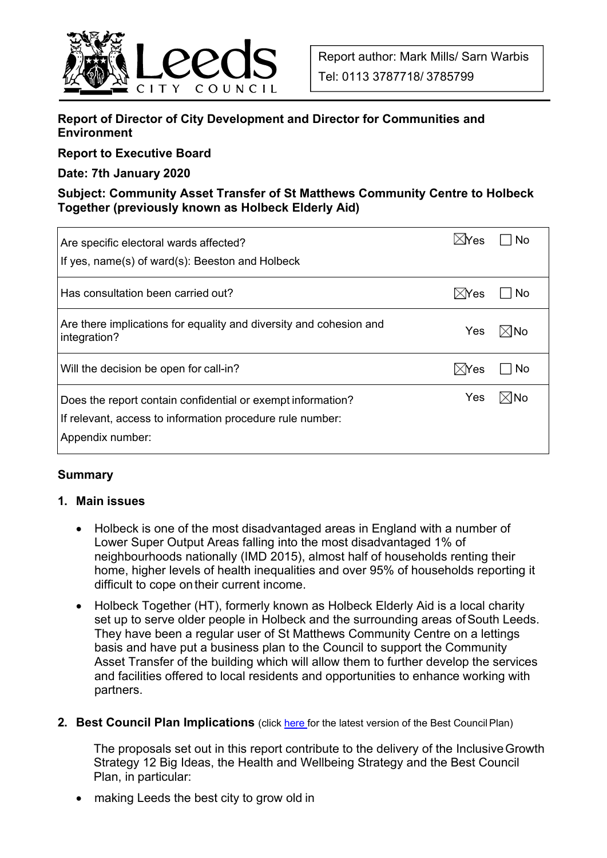

## **Report of Director of City Development and Director for Communities and Environment**

#### **Report to Executive Board**

#### **Date: 7th January 2020**

### **Subject: Community Asset Transfer of St Matthews Community Centre to Holbeck Together (previously known as Holbeck Elderly Aid)**

| Are specific electoral wards affected?<br>If yes, name(s) of ward(s): Beeston and Holbeck                                                    | $\times$ lYes   | No  |
|----------------------------------------------------------------------------------------------------------------------------------------------|-----------------|-----|
| Has consultation been carried out?                                                                                                           | $\boxtimes$ Yes | No  |
| Are there implications for equality and diversity and cohesion and<br>integration?                                                           | Yes             | ⊠No |
| Will the decision be open for call-in?                                                                                                       | $\boxtimes$ Yes | No  |
| Does the report contain confidential or exempt information?<br>If relevant, access to information procedure rule number:<br>Appendix number: | Yes             | ⊠No |

#### **Summary**

#### **1. Main issues**

- Holbeck is one of the most disadvantaged areas in England with a number of Lower Super Output Areas falling into the most disadvantaged 1% of neighbourhoods nationally (IMD 2015), almost half of households renting their home, higher levels of health inequalities and over 95% of households reporting it difficult to cope on their current income.
- Holbeck Together (HT), formerly known as Holbeck Elderly Aid is a local charity set up to serve older people in Holbeck and the surrounding areas of South Leeds. They have been a regular user of St Matthews Community Centre on a lettings basis and have put a business plan to the Council to support the Community Asset Transfer of the building which will allow them to further develop the services and facilities offered to local residents and opportunities to enhance working with partners.
- **2. Best Council Plan Implications** (click here for the latest version of the Best Council Plan)

The proposals set out in this report contribute to the delivery of the Inclusive Growth Strategy 12 Big Ideas, the Health and Wellbeing Strategy and the Best Council Plan, in particular:

making Leeds the best city to grow old in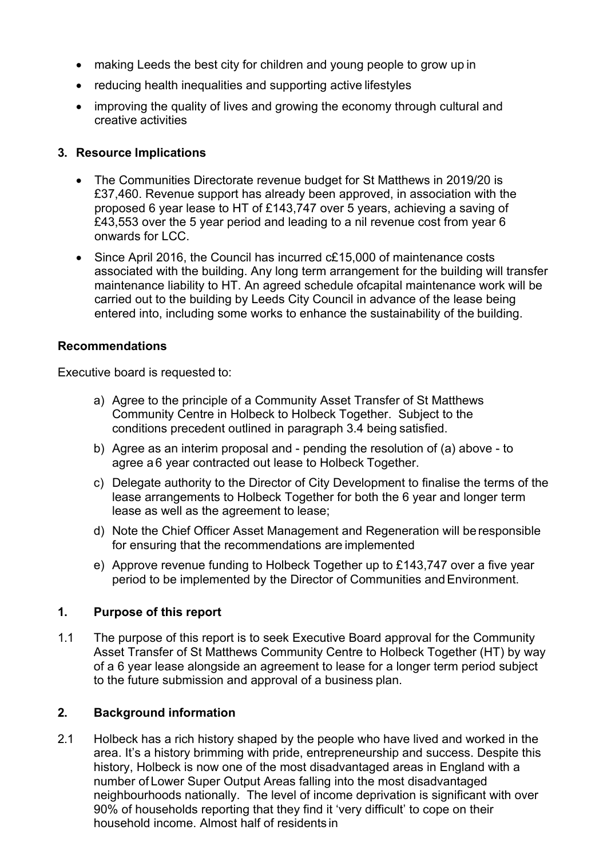- making Leeds the best city for children and young people to grow up in
- reducing health inequalities and supporting active lifestyles
- improving the quality of lives and growing the economy through cultural and creative activities

### **3. Resource Implications**

- The Communities Directorate revenue budget for St Matthews in 2019/20 is £37,460. Revenue support has already been approved, in association with the proposed 6 year lease to HT of £143,747 over 5 years, achieving a saving of £43,553 over the 5 year period and leading to a nil revenue cost from year 6 onwards for LCC.
- Since April 2016, the Council has incurred c£15,000 of maintenance costs associated with the building. Any long term arrangement for the building will transfer maintenance liability to HT. An agreed schedule ofcapital maintenance work will be carried out to the building by Leeds City Council in advance of the lease being entered into, including some works to enhance the sustainability of the building.

#### **Recommendations**

Executive board is requested to:

- a) Agree to the principle of a Community Asset Transfer of St Matthews Community Centre in Holbeck to Holbeck Together. Subject to the conditions precedent outlined in paragraph 3.4 being satisfied.
- b) Agree as an interim proposal and pending the resolution of (a) above to agree a 6 year contracted out lease to Holbeck Together.
- c) Delegate authority to the Director of City Development to finalise the terms of the lease arrangements to Holbeck Together for both the 6 year and longer term lease as well as the agreement to lease;
- d) Note the Chief Officer Asset Management and Regeneration will be responsible for ensuring that the recommendations are implemented
- e) Approve revenue funding to Holbeck Together up to £143,747 over a five year period to be implemented by the Director of Communities and Environment.

#### **1. Purpose of this report**

1.1 The purpose of this report is to seek Executive Board approval for the Community Asset Transfer of St Matthews Community Centre to Holbeck Together (HT) by way of a 6 year lease alongside an agreement to lease for a longer term period subject to the future submission and approval of a business plan.

## **2. Background information**

2.1 Holbeck has a rich history shaped by the people who have lived and worked in the area. It's a history brimming with pride, entrepreneurship and success. Despite this history, Holbeck is now one of the most disadvantaged areas in England with a number of Lower Super Output Areas falling into the most disadvantaged neighbourhoods nationally. The level of income deprivation is significant with over 90% of households reporting that they find it 'very difficult' to cope on their household income. Almost half of residents in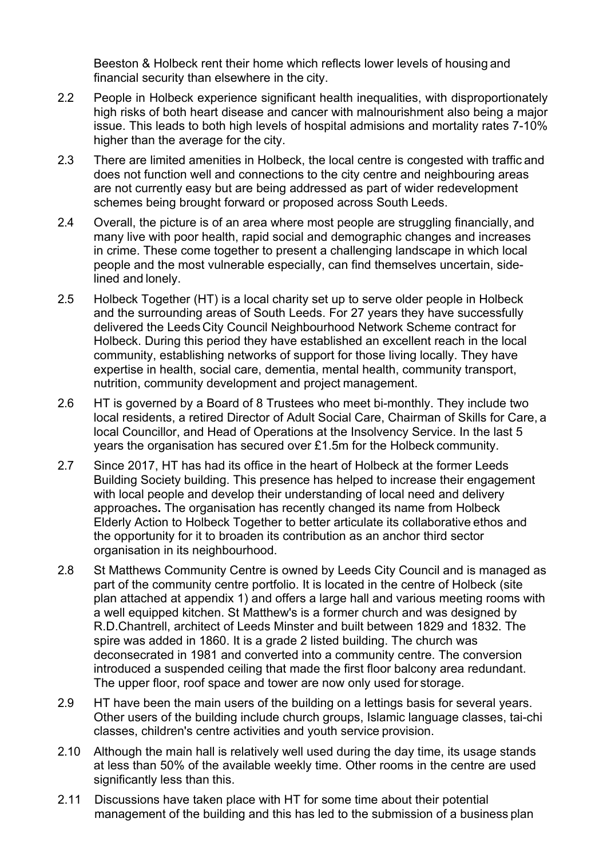Beeston & Holbeck rent their home which reflects lower levels of housing and financial security than elsewhere in the city.

- 2.2 People in Holbeck experience significant health inequalities, with disproportionately high risks of both heart disease and cancer with malnourishment also being a major issue. This leads to both high levels of hospital admisions and mortality rates 7-10% higher than the average for the city.
- 2.3 There are limited amenities in Holbeck, the local centre is congested with traffic and does not function well and connections to the city centre and neighbouring areas are not currently easy but are being addressed as part of wider redevelopment schemes being brought forward or proposed across South Leeds.
- 2.4 Overall, the picture is of an area where most people are struggling financially, and many live with poor health, rapid social and demographic changes and increases in crime. These come together to present a challenging landscape in which local people and the most vulnerable especially, can find themselves uncertain, sidelined and lonely.
- 2.5 Holbeck Together (HT) is a local charity set up to serve older people in Holbeck and the surrounding areas of South Leeds. For 27 years they have successfully delivered the Leeds City Council Neighbourhood Network Scheme contract for Holbeck. During this period they have established an excellent reach in the local community, establishing networks of support for those living locally. They have expertise in health, social care, dementia, mental health, community transport, nutrition, community development and project management.
- 2.6 HT is governed by a Board of 8 Trustees who meet bi-monthly. They include two local residents, a retired Director of Adult Social Care, Chairman of Skills for Care, a local Councillor, and Head of Operations at the Insolvency Service. In the last 5 years the organisation has secured over £1.5m for the Holbeck community.
- 2.7 Since 2017, HT has had its office in the heart of Holbeck at the former Leeds Building Society building. This presence has helped to increase their engagement with local people and develop their understanding of local need and delivery approaches**.** The organisation has recently changed its name from Holbeck Elderly Action to Holbeck Together to better articulate its collaborative ethos and the opportunity for it to broaden its contribution as an anchor third sector organisation in its neighbourhood.
- 2.8 St Matthews Community Centre is owned by Leeds City Council and is managed as part of the community centre portfolio. It is located in the centre of Holbeck (site plan attached at appendix 1) and offers a large hall and various meeting rooms with a well equipped kitchen. St Matthew's is a former church and was designed by R.D.Chantrell, architect of Leeds Minster and built between 1829 and 1832. The spire was added in 1860. It is a grade 2 listed building. The church was deconsecrated in 1981 and converted into a community centre. The conversion introduced a suspended ceiling that made the first floor balcony area redundant. The upper floor, roof space and tower are now only used for storage.
- 2.9 HT have been the main users of the building on a lettings basis for several years. Other users of the building include church groups, Islamic language classes, tai-chi classes, children's centre activities and youth service provision.
- 2.10 Although the main hall is relatively well used during the day time, its usage stands at less than 50% of the available weekly time. Other rooms in the centre are used significantly less than this.
- 2.11 Discussions have taken place with HT for some time about their potential management of the building and this has led to the submission of a business plan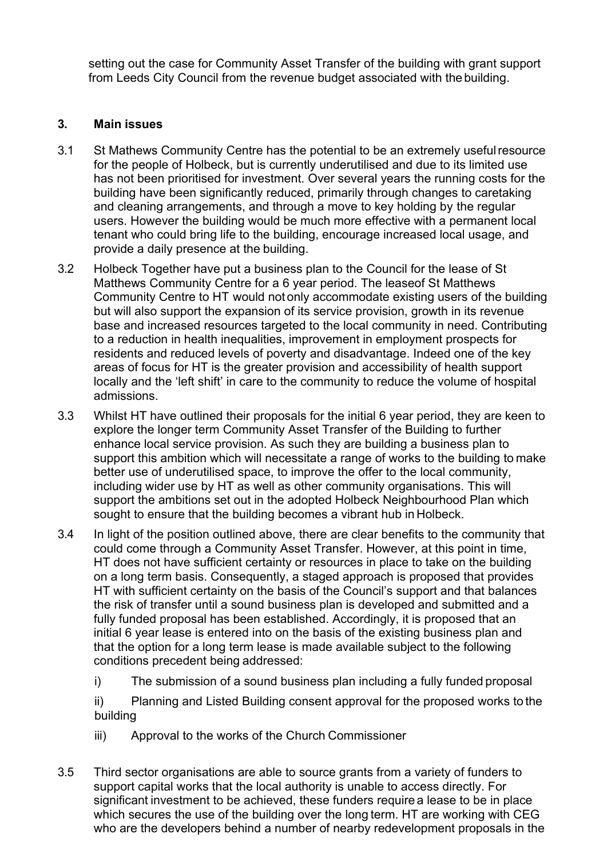setting out the case for Community Asset Transfer of the building with grant support from Leeds City Council from the revenue budget associated with the building.

### **3. Main issues**

- 3.1 St Mathews Community Centre has the potential to be an extremely useful resource for the people of Holbeck, but is currently underutilised and due to its limited use has not been prioritised for investment. Over several years the running costs for the building have been significantly reduced, primarily through changes to caretaking and cleaning arrangements, and through a move to key holding by the regular users. However the building would be much more effective with a permanent local tenant who could bring life to the building, encourage increased local usage, and provide a daily presence at the building.
- 3.2 Holbeck Together have put a business plan to the Council for the lease of St Matthews Community Centre for a 6 year period. The leaseof St Matthews Community Centre to HT would not only accommodate existing users of the building but will also support the expansion of its service provision, growth in its revenue base and increased resources targeted to the local community in need. Contributing to a reduction in health inequalities, improvement in employment prospects for residents and reduced levels of poverty and disadvantage. Indeed one of the key areas of focus for HT is the greater provision and accessibility of health support locally and the 'left shift' in care to the community to reduce the volume of hospital admissions.
- 3.3 Whilst HT have outlined their proposals for the initial 6 year period, they are keen to explore the longer term Community Asset Transfer of the Building to further enhance local service provision. As such they are building a business plan to support this ambition which will necessitate a range of works to the building to make better use of underutilised space, to improve the offer to the local community, including wider use by HT as well as other community organisations. This will support the ambitions set out in the adopted Holbeck Neighbourhood Plan which sought to ensure that the building becomes a vibrant hub in Holbeck.
- 3.4 In light of the position outlined above, there are clear benefits to the community that could come through a Community Asset Transfer. However, at this point in time, HT does not have sufficient certainty or resources in place to take on the building on a long term basis. Consequently, a staged approach is proposed that provides HT with sufficient certainty on the basis of the Council's support and that balances the risk of transfer until a sound business plan is developed and submitted and a fully funded proposal has been established. Accordingly, it is proposed that an initial 6 year lease is entered into on the basis of the existing business plan and that the option for a long term lease is made available subject to the following conditions precedent being addressed:
	- i) The submission of a sound business plan including a fully funded proposal

ii) Planning and Listed Building consent approval for the proposed works to the building

- iii) Approval to the works of the Church Commissioner
- 3.5 Third sector organisations are able to source grants from a variety of funders to support capital works that the local authority is unable to access directly. For significant investment to be achieved, these funders require a lease to be in place which secures the use of the building over the long term. HT are working with CEG who are the developers behind a number of nearby redevelopment proposals in the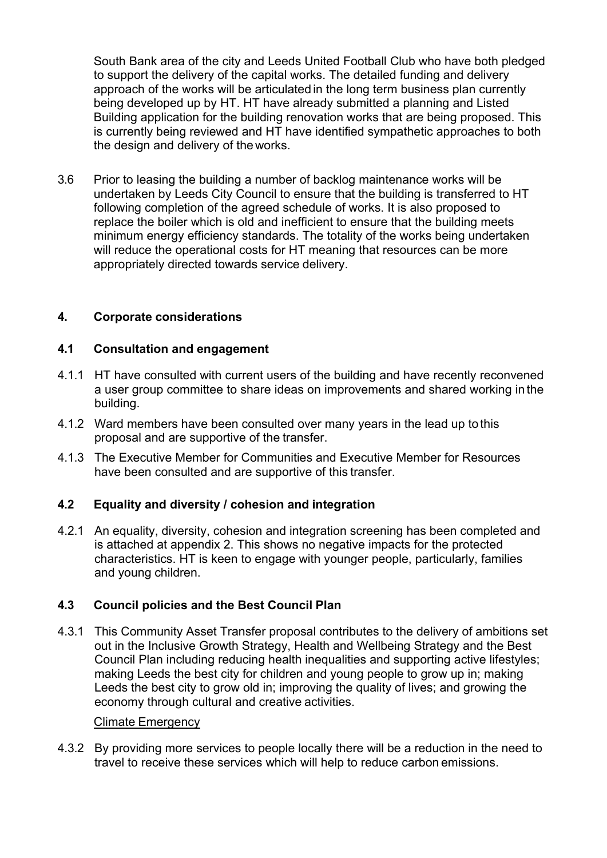South Bank area of the city and Leeds United Football Club who have both pledged to support the delivery of the capital works. The detailed funding and delivery approach of the works will be articulated in the long term business plan currently being developed up by HT. HT have already submitted a planning and Listed Building application for the building renovation works that are being proposed. This is currently being reviewed and HT have identified sympathetic approaches to both the design and delivery of the works.

3.6 Prior to leasing the building a number of backlog maintenance works will be undertaken by Leeds City Council to ensure that the building is transferred to HT following completion of the agreed schedule of works. It is also proposed to replace the boiler which is old and inefficient to ensure that the building meets minimum energy efficiency standards. The totality of the works being undertaken will reduce the operational costs for HT meaning that resources can be more appropriately directed towards service delivery.

### **4. Corporate considerations**

#### **4.1 Consultation and engagement**

- 4.1.1 HT have consulted with current users of the building and have recently reconvened a user group committee to share ideas on improvements and shared working in the building.
- 4.1.2 Ward members have been consulted over many years in the lead up to this proposal and are supportive of the transfer.
- 4.1.3 The Executive Member for Communities and Executive Member for Resources have been consulted and are supportive of this transfer.

#### **4.2 Equality and diversity / cohesion and integration**

4.2.1 An equality, diversity, cohesion and integration screening has been completed and is attached at appendix 2. This shows no negative impacts for the protected characteristics. HT is keen to engage with younger people, particularly, families and young children.

## **4.3 Council policies and the Best Council Plan**

4.3.1 This Community Asset Transfer proposal contributes to the delivery of ambitions set out in the Inclusive Growth Strategy, Health and Wellbeing Strategy and the Best Council Plan including reducing health inequalities and supporting active lifestyles; making Leeds the best city for children and young people to grow up in; making Leeds the best city to grow old in; improving the quality of lives; and growing the economy through cultural and creative activities.

#### Climate Emergency

4.3.2 By providing more services to people locally there will be a reduction in the need to travel to receive these services which will help to reduce carbon emissions.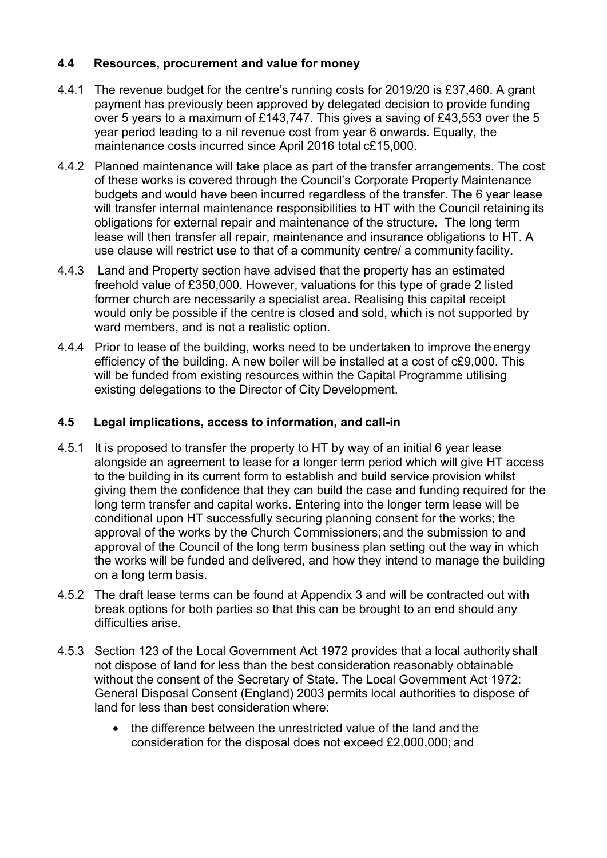### **4.4 Resources, procurement and value for money**

- 4.4.1 The revenue budget for the centre's running costs for 2019/20 is £37,460. A grant payment has previously been approved by delegated decision to provide funding over 5 years to a maximum of £143,747. This gives a saving of £43,553 over the 5 year period leading to a nil revenue cost from year 6 onwards. Equally, the maintenance costs incurred since April 2016 total c£15,000.
- 4.4.2 Planned maintenance will take place as part of the transfer arrangements. The cost of these works is covered through the Council's Corporate Property Maintenance budgets and would have been incurred regardless of the transfer. The 6 year lease will transfer internal maintenance responsibilities to HT with the Council retaining its obligations for external repair and maintenance of the structure. The long term lease will then transfer all repair, maintenance and insurance obligations to HT. A use clause will restrict use to that of a community centre/ a community facility.
- 4.4.3 Land and Property section have advised that the property has an estimated freehold value of £350,000. However, valuations for this type of grade 2 listed former church are necessarily a specialist area. Realising this capital receipt would only be possible if the centre is closed and sold, which is not supported by ward members, and is not a realistic option.
- 4.4.4 Prior to lease of the building, works need to be undertaken to improve the energy efficiency of the building. A new boiler will be installed at a cost of c£9,000. This will be funded from existing resources within the Capital Programme utilising existing delegations to the Director of City Development.

### **4.5 Legal implications, access to information, and call-in**

- 4.5.1 It is proposed to transfer the property to HT by way of an initial 6 year lease alongside an agreement to lease for a longer term period which will give HT access to the building in its current form to establish and build service provision whilst giving them the confidence that they can build the case and funding required for the long term transfer and capital works. Entering into the longer term lease will be conditional upon HT successfully securing planning consent for the works; the approval of the works by the Church Commissioners; and the submission to and approval of the Council of the long term business plan setting out the way in which the works will be funded and delivered, and how they intend to manage the building on a long term basis.
- 4.5.2 The draft lease terms can be found at Appendix 3 and will be contracted out with break options for both parties so that this can be brought to an end should any difficulties arise.
- 4.5.3 Section 123 of the Local Government Act 1972 provides that a local authority shall not dispose of land for less than the best consideration reasonably obtainable without the consent of the Secretary of State. The Local Government Act 1972: General Disposal Consent (England) 2003 permits local authorities to dispose of land for less than best consideration where:
	- the difference between the unrestricted value of the land and the consideration for the disposal does not exceed £2,000,000; and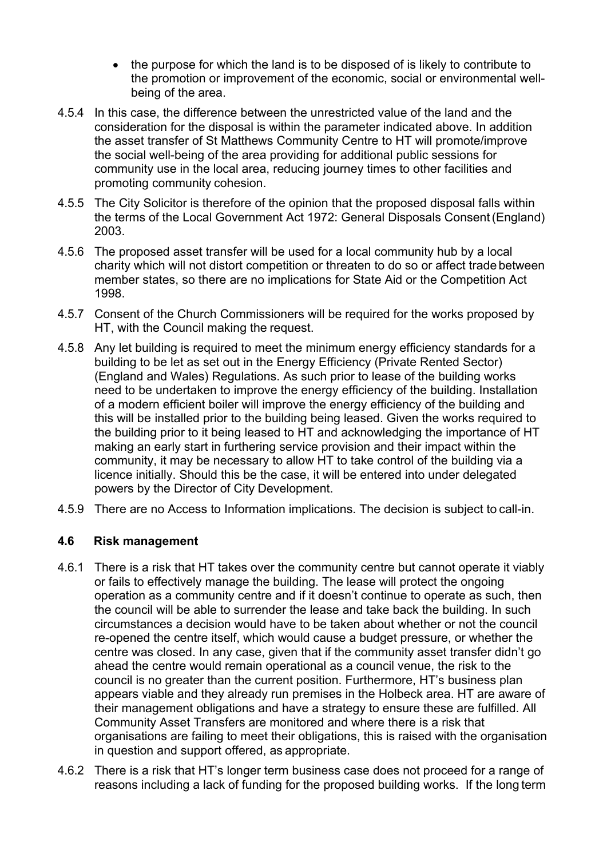- the purpose for which the land is to be disposed of is likely to contribute to the promotion or improvement of the economic, social or environmental wellbeing of the area.
- 4.5.4 In this case, the difference between the unrestricted value of the land and the consideration for the disposal is within the parameter indicated above. In addition the asset transfer of St Matthews Community Centre to HT will promote/improve the social well-being of the area providing for additional public sessions for community use in the local area, reducing journey times to other facilities and promoting community cohesion.
- 4.5.5 The City Solicitor is therefore of the opinion that the proposed disposal falls within the terms of the Local Government Act 1972: General Disposals Consent (England) 2003.
- 4.5.6 The proposed asset transfer will be used for a local community hub by a local charity which will not distort competition or threaten to do so or affect trade between member states, so there are no implications for State Aid or the Competition Act 1998.
- 4.5.7 Consent of the Church Commissioners will be required for the works proposed by HT, with the Council making the request.
- 4.5.8 Any let building is required to meet the minimum energy efficiency standards for a building to be let as set out in the Energy Efficiency (Private Rented Sector) (England and Wales) Regulations. As such prior to lease of the building works need to be undertaken to improve the energy efficiency of the building. Installation of a modern efficient boiler will improve the energy efficiency of the building and this will be installed prior to the building being leased. Given the works required to the building prior to it being leased to HT and acknowledging the importance of HT making an early start in furthering service provision and their impact within the community, it may be necessary to allow HT to take control of the building via a licence initially. Should this be the case, it will be entered into under delegated powers by the Director of City Development.
- 4.5.9 There are no Access to Information implications. The decision is subject to call-in.

#### **4.6 Risk management**

- 4.6.1 There is a risk that HT takes over the community centre but cannot operate it viably or fails to effectively manage the building. The lease will protect the ongoing operation as a community centre and if it doesn't continue to operate as such, then the council will be able to surrender the lease and take back the building. In such circumstances a decision would have to be taken about whether or not the council re-opened the centre itself, which would cause a budget pressure, or whether the centre was closed. In any case, given that if the community asset transfer didn't go ahead the centre would remain operational as a council venue, the risk to the council is no greater than the current position. Furthermore, HT's business plan appears viable and they already run premises in the Holbeck area. HT are aware of their management obligations and have a strategy to ensure these are fulfilled. All Community Asset Transfers are monitored and where there is a risk that organisations are failing to meet their obligations, this is raised with the organisation in question and support offered, as appropriate.
- 4.6.2 There is a risk that HT's longer term business case does not proceed for a range of reasons including a lack of funding for the proposed building works. If the long term